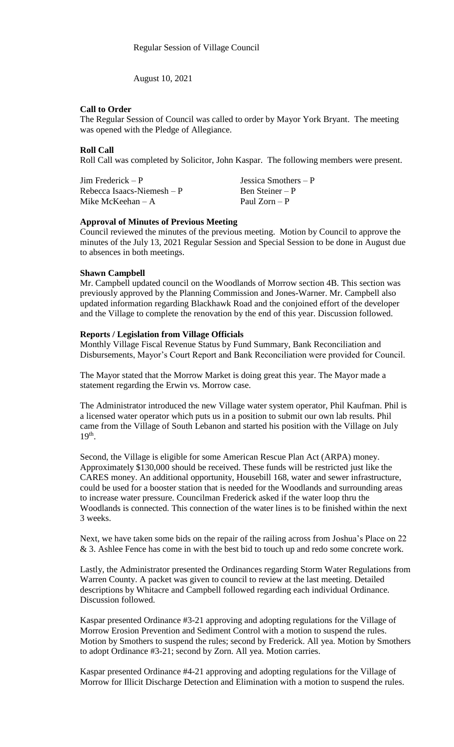August 10, 2021

### **Call to Order**

The Regular Session of Council was called to order by Mayor York Bryant. The meeting was opened with the Pledge of Allegiance.

## **Roll Call**

Roll Call was completed by Solicitor, John Kaspar. The following members were present.

Jim Frederick – P Jessica Smothers – P  $Rebecca Isaacs-Niemesh - P$  Ben Steiner – P<br>Mike McKeehan – A Paul Zorn – P Mike McKeehan –  $A$ 

# **Approval of Minutes of Previous Meeting**

Council reviewed the minutes of the previous meeting. Motion by Council to approve the minutes of the July 13, 2021 Regular Session and Special Session to be done in August due to absences in both meetings.

### **Shawn Campbell**

Mr. Campbell updated council on the Woodlands of Morrow section 4B. This section was previously approved by the Planning Commission and Jones-Warner. Mr. Campbell also updated information regarding Blackhawk Road and the conjoined effort of the developer and the Village to complete the renovation by the end of this year. Discussion followed.

## **Reports / Legislation from Village Officials**

Monthly Village Fiscal Revenue Status by Fund Summary, Bank Reconciliation and Disbursements, Mayor's Court Report and Bank Reconciliation were provided for Council.

The Mayor stated that the Morrow Market is doing great this year. The Mayor made a statement regarding the Erwin vs. Morrow case.

The Administrator introduced the new Village water system operator, Phil Kaufman. Phil is a licensed water operator which puts us in a position to submit our own lab results. Phil came from the Village of South Lebanon and started his position with the Village on July 19<sup>th</sup>.

Second, the Village is eligible for some American Rescue Plan Act (ARPA) money. Approximately \$130,000 should be received. These funds will be restricted just like the CARES money. An additional opportunity, Housebill 168, water and sewer infrastructure, could be used for a booster station that is needed for the Woodlands and surrounding areas to increase water pressure. Councilman Frederick asked if the water loop thru the Woodlands is connected. This connection of the water lines is to be finished within the next 3 weeks.

Next, we have taken some bids on the repair of the railing across from Joshua's Place on 22 & 3. Ashlee Fence has come in with the best bid to touch up and redo some concrete work.

Lastly, the Administrator presented the Ordinances regarding Storm Water Regulations from Warren County. A packet was given to council to review at the last meeting. Detailed descriptions by Whitacre and Campbell followed regarding each individual Ordinance. Discussion followed.

Kaspar presented Ordinance #3-21 approving and adopting regulations for the Village of Morrow Erosion Prevention and Sediment Control with a motion to suspend the rules. Motion by Smothers to suspend the rules; second by Frederick. All yea. Motion by Smothers to adopt Ordinance #3-21; second by Zorn. All yea. Motion carries.

Kaspar presented Ordinance #4-21 approving and adopting regulations for the Village of Morrow for Illicit Discharge Detection and Elimination with a motion to suspend the rules.